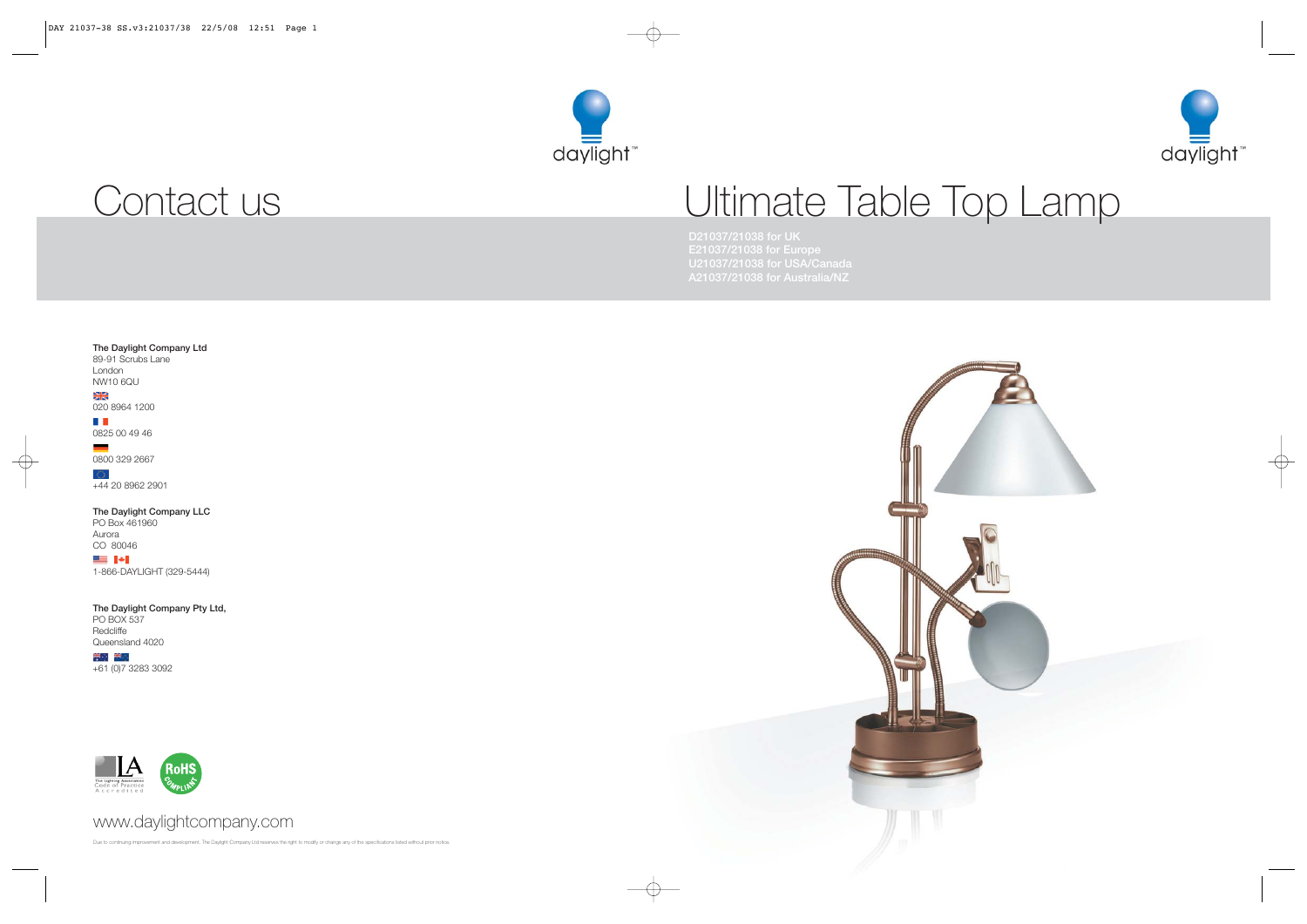

# Ultimate Table Top Lamp

**D21037/21038 for UK E21037/21038 for Europe U21037/21038 for USA/Canada**

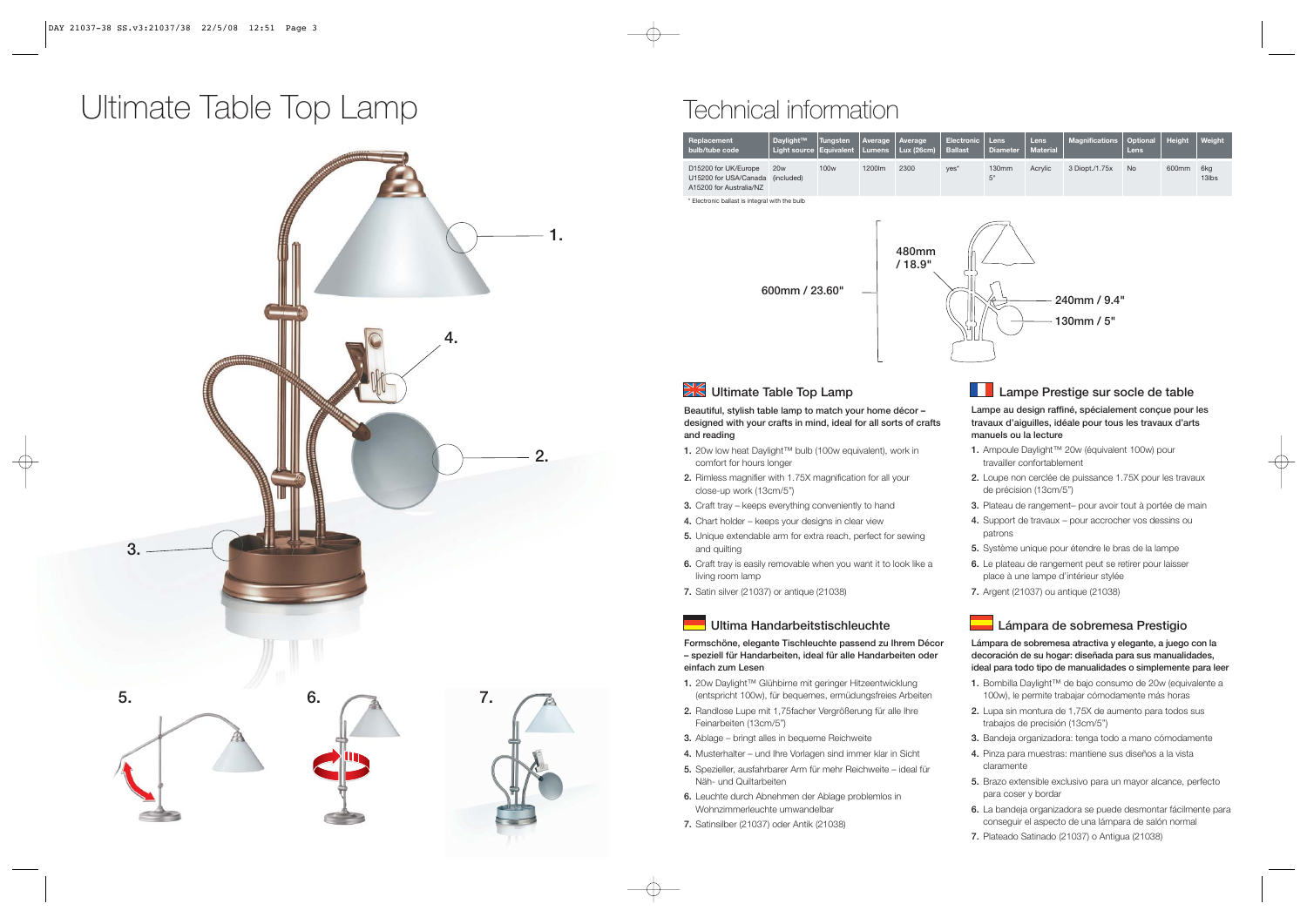### Ultimate Table Top Lamp<br>
Technical information



| Replacement<br>bulb/tube code                                            | Daylight™<br>Light source   Equivalent | <b>Tungsten</b>  | Average<br><b>Lumens</b> | Average<br><b>Lux (26cm)</b> | <b>Electronic</b><br><b>Ballast</b> | Lens<br><b>Diameter</b> | Lens<br><b>Material</b> | <b>Magnifications</b> | Optional<br><b>Lens</b> | <b>Height</b>     | Weight       |
|--------------------------------------------------------------------------|----------------------------------------|------------------|--------------------------|------------------------------|-------------------------------------|-------------------------|-------------------------|-----------------------|-------------------------|-------------------|--------------|
| D15200 for UK/Europe<br>U15200 for USA/Canada<br>A15200 for Australia/NZ | 20w<br>(included)                      | 100 <sub>w</sub> | 1200lm                   | 2300                         | $Yes*$                              | 130mm<br>5"             | Acrylic                 | 3 Diopt./1.75x        | <b>No</b>               | 600 <sub>mm</sub> | 6kg<br>13lbs |

onic ballast is integral with the bull



#### **XX** Ultimate Table Top Lamp

**Beautiful, stylish table lamp to match your home décor – designed with your crafts in mind, ideal for all sorts of crafts and reading**

- **1.** 20w low heat Daylight™ bulb (100w equivalent), work in comfort for hours longer
- **2.** Rimless magnifier with 1.75X magnification for all your close-up work (13cm/5")
- **3.** Craft tray keeps everything conveniently to hand
- **4.** Chart holder keeps your designs in clear view
- **5.** Unique extendable arm for extra reach, perfect for sewing and quilting
- **6.** Craft tray is easily removable when you want it to look like a living room lamp
- **7.** Satin silver (21037) or antique (21038)

#### **Ultima Handarbeitstischleuchte**

**Formschöne, elegante Tischleuchte passend zu Ihrem Décor – speziell für Handarbeiten, ideal für alle Handarbeiten oder einfach zum Lesen**

- **1.** 20w Daylight™ Glühbirne mit geringer Hitzeentwicklung (entspricht 100w), für bequemes, ermüdungsfreies Arbeiten
- **2.** Randlose Lupe mit 1,75facher Vergrößerung für alle Ihre Feinarbeiten (13cm/5")
- **3.** Ablage bringt alles in bequeme Reichweite
- **4.** Musterhalter und Ihre Vorlagen sind immer klar in Sicht
- **5.** Spezieller, ausfahrbarer Arm für mehr Reichweite ideal für Näh- und Quiltarbeiten
- **6.** Leuchte durch Abnehmen der Ablage problemlos in Wohnzimmerleuchte umwandelbar
- **7.** Satinsilber (21037) oder Antik (21038)

#### **Lampe Prestige sur socle de table**

**Lampe au design raffiné, spécialement conçue pour les travaux d'aiguilles, idéale pour tous les travaux d'arts manuels ou la lecture** 

- **1.** Ampoule Daylight™ 20w (équivalent 100w) pour travailler confortablement
- **2.** Loupe non cerclée de puissance 1.75X pour les travaux de précision (13cm/5")
- **3.** Plateau de rangement– pour avoir tout à portée de main
- **4.** Support de travaux pour accrocher vos dessins ou patrons
- **5.** Système unique pour étendre le bras de la lampe
- **6.** Le plateau de rangement peut se retirer pour laisser place à une lampe d'intérieur stylée
- **7.** Argent (21037) ou antique (21038)

#### **Lámpara de sobremesa Prestigio**

**Lámpara de sobremesa atractiva y elegante, a juego con la decoración de su hogar: diseñada para sus manualidades, ideal para todo tipo de manualidades o simplemente para leer**

- **1.** Bombilla Daylight™ de bajo consumo de 20w (equivalente a 100w), le permite trabajar cómodamente más horas
- **2.** Lupa sin montura de 1,75X de aumento para todos sus trabajos de precisión (13cm/5")
- **3.** Bandeja organizadora: tenga todo a mano cómodamente
- **4.** Pinza para muestras: mantiene sus diseños a la vista claramente
- **5.** Brazo extensible exclusivo para un mayor alcance, perfecto para coser y bordar
- **6.** La bandeja organizadora se puede desmontar fácilmente para conseguir el aspecto de una lámpara de salón normal
- **7.** Plateado Satinado (21037) o Antigua (21038)